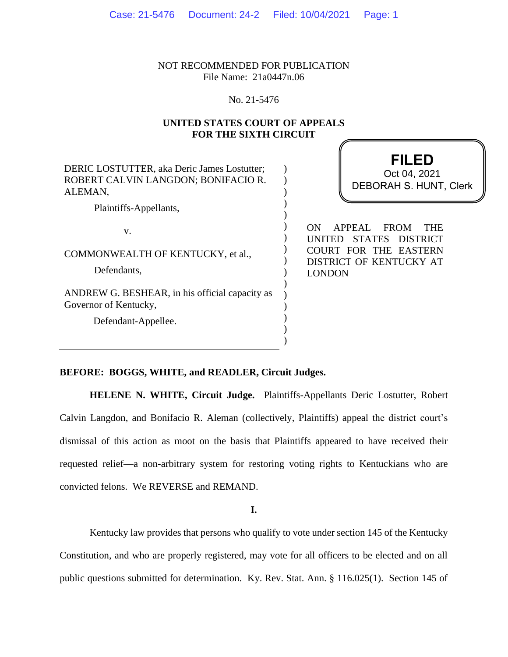NOT RECOMMENDED FOR PUBLICATION File Name: 21a0447n.06

# No. 21-5476

# **UNITED STATES COURT OF APPEALS FOR THE SIXTH CIRCUIT**

DERIC LOSTUTTER, aka Deric James Lostutter; ROBERT CALVIN LANGDON; BONIFACIO R. ALEMAN, Plaintiffs-Appellants, v. COMMONWEALTH OF KENTUCKY, et al., Defendants, ANDREW G. BESHEAR, in his official capacity as Governor of Kentucky, Defendant-Appellee. ) ) ) ) ) ) ) ) ) ) ) ) ) ) )

**FILED** DEBORAH S. HUNT, Clerk Oct 04, 2021

ON APPEAL FROM THE UNITED STATES DISTRICT COURT FOR THE EASTERN DISTRICT OF KENTUCKY AT LONDON

#### **BEFORE: BOGGS, WHITE, and READLER, Circuit Judges.**

**HELENE N. WHITE, Circuit Judge.** Plaintiffs-Appellants Deric Lostutter, Robert Calvin Langdon, and Bonifacio R. Aleman (collectively, Plaintiffs) appeal the district court's dismissal of this action as moot on the basis that Plaintiffs appeared to have received their requested relief—a non-arbitrary system for restoring voting rights to Kentuckians who are convicted felons. We REVERSE and REMAND.

)

**I.**

Kentucky law provides that persons who qualify to vote under section 145 of the Kentucky Constitution, and who are properly registered, may vote for all officers to be elected and on all public questions submitted for determination. Ky. Rev. Stat. Ann. § 116.025(1). Section 145 of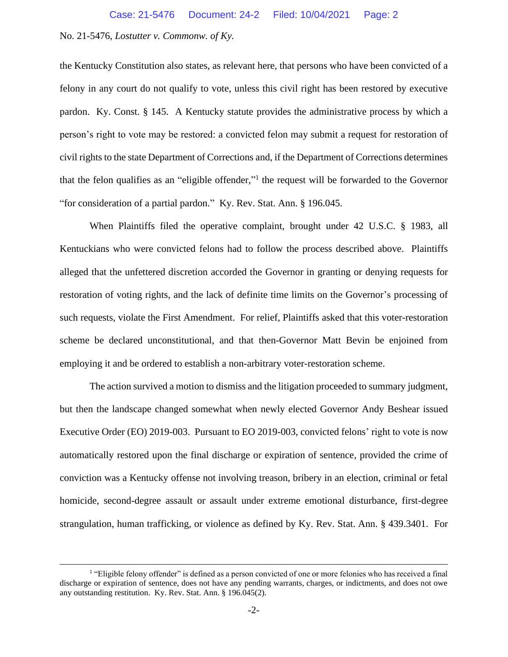the Kentucky Constitution also states, as relevant here, that persons who have been convicted of a felony in any court do not qualify to vote, unless this civil right has been restored by executive pardon. Ky. Const. § 145. A Kentucky statute provides the administrative process by which a person's right to vote may be restored: a convicted felon may submit a request for restoration of civil rights to the state Department of Corrections and, if the Department of Corrections determines that the felon qualifies as an "eligible offender,"<sup>1</sup> the request will be forwarded to the Governor "for consideration of a partial pardon." Ky. Rev. Stat. Ann. § 196.045.

When Plaintiffs filed the operative complaint, brought under 42 U.S.C. § 1983, all Kentuckians who were convicted felons had to follow the process described above. Plaintiffs alleged that the unfettered discretion accorded the Governor in granting or denying requests for restoration of voting rights, and the lack of definite time limits on the Governor's processing of such requests, violate the First Amendment. For relief, Plaintiffs asked that this voter-restoration scheme be declared unconstitutional, and that then-Governor Matt Bevin be enjoined from employing it and be ordered to establish a non-arbitrary voter-restoration scheme.

The action survived a motion to dismiss and the litigation proceeded to summary judgment, but then the landscape changed somewhat when newly elected Governor Andy Beshear issued Executive Order (EO) 2019-003. Pursuant to EO 2019-003, convicted felons' right to vote is now automatically restored upon the final discharge or expiration of sentence, provided the crime of conviction was a Kentucky offense not involving treason, bribery in an election, criminal or fetal homicide, second-degree assault or assault under extreme emotional disturbance, first-degree strangulation, human trafficking, or violence as defined by Ky. Rev. Stat. Ann. § 439.3401. For

<sup>&</sup>lt;sup>1</sup> "Eligible felony offender" is defined as a person convicted of one or more felonies who has received a final discharge or expiration of sentence, does not have any pending warrants, charges, or indictments, and does not owe any outstanding restitution. Ky. Rev. Stat. Ann. § 196.045(2).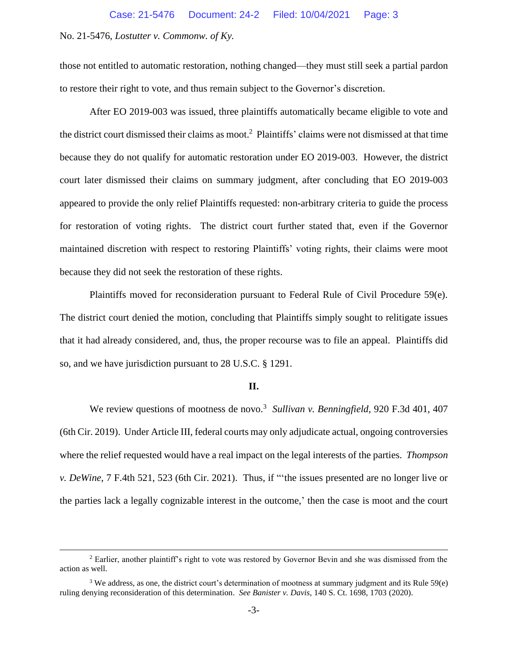those not entitled to automatic restoration, nothing changed—they must still seek a partial pardon to restore their right to vote, and thus remain subject to the Governor's discretion.

After EO 2019-003 was issued, three plaintiffs automatically became eligible to vote and the district court dismissed their claims as moot. 2 Plaintiffs' claims were not dismissed at that time because they do not qualify for automatic restoration under EO 2019-003. However, the district court later dismissed their claims on summary judgment, after concluding that EO 2019-003 appeared to provide the only relief Plaintiffs requested: non-arbitrary criteria to guide the process for restoration of voting rights. The district court further stated that, even if the Governor maintained discretion with respect to restoring Plaintiffs' voting rights, their claims were moot because they did not seek the restoration of these rights.

Plaintiffs moved for reconsideration pursuant to Federal Rule of Civil Procedure 59(e). The district court denied the motion, concluding that Plaintiffs simply sought to relitigate issues that it had already considered, and, thus, the proper recourse was to file an appeal. Plaintiffs did so, and we have jurisdiction pursuant to 28 U.S.C. § 1291.

#### **II.**

We review questions of mootness de novo.<sup>3</sup> Sullivan v. Benningfield, 920 F.3d 401, 407 (6th Cir. 2019). Under Article III, federal courts may only adjudicate actual, ongoing controversies where the relief requested would have a real impact on the legal interests of the parties. *Thompson v. DeWine*, 7 F.4th 521, 523 (6th Cir. 2021). Thus, if "'the issues presented are no longer live or the parties lack a legally cognizable interest in the outcome,' then the case is moot and the court

<sup>&</sup>lt;sup>2</sup> Earlier, another plaintiff's right to vote was restored by Governor Bevin and she was dismissed from the action as well.

<sup>&</sup>lt;sup>3</sup> We address, as one, the district court's determination of mootness at summary judgment and its Rule 59(e) ruling denying reconsideration of this determination. *See Banister v. Davis*, 140 S. Ct. 1698, 1703 (2020).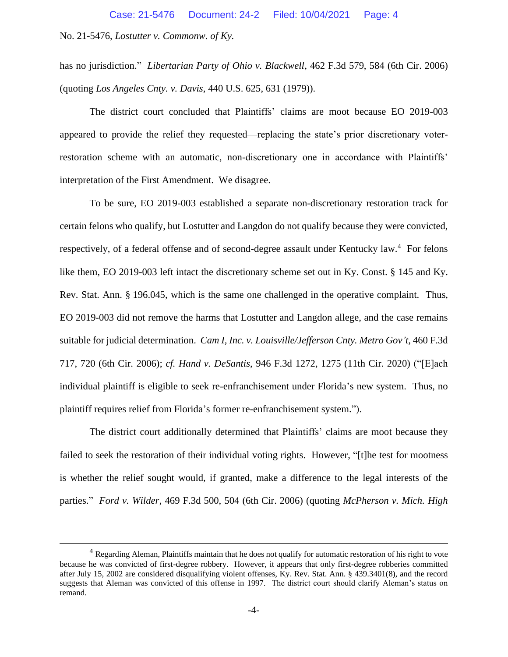has no jurisdiction." *Libertarian Party of Ohio v. Blackwell*, 462 F.3d 579, 584 (6th Cir. 2006) (quoting *Los Angeles Cnty. v. Davis*, 440 U.S. 625, 631 (1979)).

The district court concluded that Plaintiffs' claims are moot because EO 2019-003 appeared to provide the relief they requested—replacing the state's prior discretionary voterrestoration scheme with an automatic, non-discretionary one in accordance with Plaintiffs' interpretation of the First Amendment. We disagree.

To be sure, EO 2019-003 established a separate non-discretionary restoration track for certain felons who qualify, but Lostutter and Langdon do not qualify because they were convicted, respectively, of a federal offense and of second-degree assault under Kentucky law.<sup>4</sup> For felons like them, EO 2019-003 left intact the discretionary scheme set out in Ky. Const. § 145 and Ky. Rev. Stat. Ann. § 196.045, which is the same one challenged in the operative complaint. Thus, EO 2019-003 did not remove the harms that Lostutter and Langdon allege, and the case remains suitable for judicial determination. *Cam I, Inc. v. Louisville/Jefferson Cnty. Metro Gov't*, 460 F.3d 717, 720 (6th Cir. 2006); *cf. Hand v. DeSantis*, 946 F.3d 1272, 1275 (11th Cir. 2020) ("[E]ach individual plaintiff is eligible to seek re-enfranchisement under Florida's new system. Thus, no plaintiff requires relief from Florida's former re-enfranchisement system.").

The district court additionally determined that Plaintiffs' claims are moot because they failed to seek the restoration of their individual voting rights. However, "[t]he test for mootness is whether the relief sought would, if granted, make a difference to the legal interests of the parties." *Ford v. Wilder*, 469 F.3d 500, 504 (6th Cir. 2006) (quoting *McPherson v. Mich. High* 

<sup>&</sup>lt;sup>4</sup> Regarding Aleman, Plaintiffs maintain that he does not qualify for automatic restoration of his right to vote because he was convicted of first-degree robbery. However, it appears that only first-degree robberies committed after July 15, 2002 are considered disqualifying violent offenses, Ky. Rev. Stat. Ann. § 439.3401(8), and the record suggests that Aleman was convicted of this offense in 1997. The district court should clarify Aleman's status on remand.